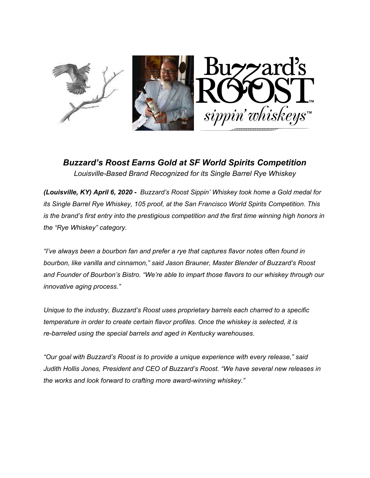

*Buzzard's Roost Earns Gold at SF World Spirits Competition Louisville-Based Brand Recognized for its Single Barrel Rye Whiskey*

*(Louisville, KY) April 6, 2020* **-** *Buzzard's Roost Sippin' Whiskey took home a Gold medal for its Single Barrel Rye Whiskey, 105 proof, at the San Francisco World Spirits Competition. This is the brand's first entry into the prestigious competition and the first time winning high honors in the "Rye Whiskey" category.*

*"I've always been a bourbon fan and prefer a rye that captures flavor notes often found in bourbon, like vanilla and cinnamon," said Jason Brauner, Master Blender of Buzzard's Roost and Founder of Bourbon's Bistro. "We're able to impart those flavors to our whiskey through our innovative aging process."*

*Unique to the industry, Buzzard's Roost uses proprietary barrels each charred to a specific temperature in order to create certain flavor profiles. Once the whiskey is selected, it is re-barreled using the special barrels and aged in Kentucky warehouses.*

*"Our goal with Buzzard's Roost is to provide a unique experience with every release," said Judith Hollis Jones, President and CEO of Buzzard's Roost. "We have several new releases in the works and look forward to crafting more award-winning whiskey."*